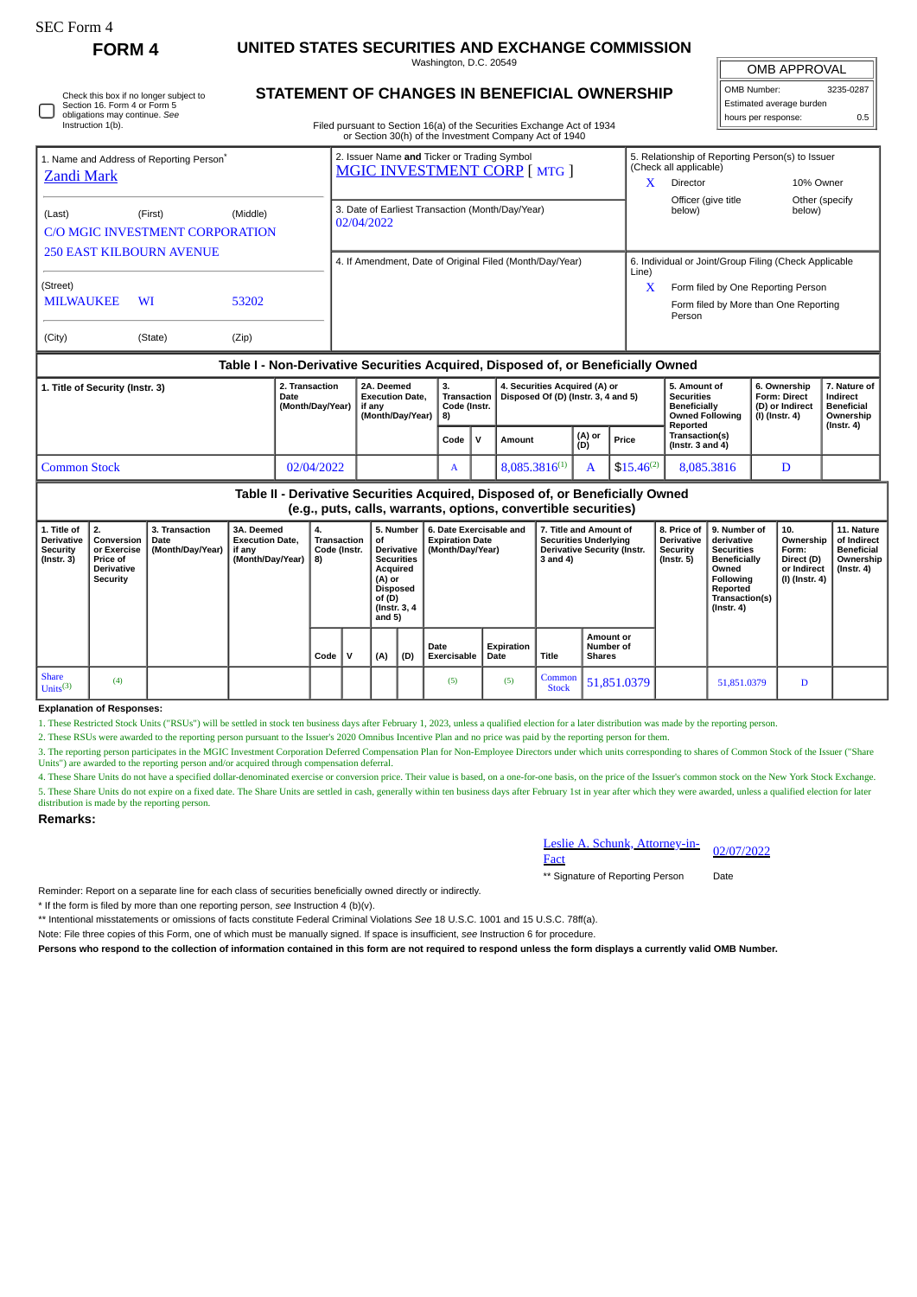| <b>FORM 4</b>                                                          | UNITED STATES SECURITIES AND EXCHANGE COMMISSION    |                                  |  |  |  |  |  |
|------------------------------------------------------------------------|-----------------------------------------------------|----------------------------------|--|--|--|--|--|
|                                                                        | Washington, D.C. 20549                              |                                  |  |  |  |  |  |
| Check this box if no longer subject to<br>Section 16, Form 4 or Form 5 | <b>STATEMENT OF CHANGES IN BENEFICIAL OWNERSHIP</b> | <b>OMB Numbe</b><br>Estimated ay |  |  |  |  |  |

| <b>UIVID AFFRUVAL</b>    |     |  |  |  |  |  |  |  |  |  |
|--------------------------|-----|--|--|--|--|--|--|--|--|--|
| OMB Number:<br>3235-0287 |     |  |  |  |  |  |  |  |  |  |
| Estimated average burden |     |  |  |  |  |  |  |  |  |  |
| hours per response:      | 0.5 |  |  |  |  |  |  |  |  |  |

 $\overline{ADDOVAD}$ 

|   |  | Filed pursuant to Section 16(a) of the Securities Exchange Act of 1934 |
|---|--|------------------------------------------------------------------------|
|   |  |                                                                        |
| . |  |                                                                        |

|                                                                                  |         |                                    |                                                                    | or Section 30(h) of the Investment Company Act of 1940                                                                 |      |   |                                                                                         |                                                                          |                                                                                |                                                                            |           |                |  |  |
|----------------------------------------------------------------------------------|---------|------------------------------------|--------------------------------------------------------------------|------------------------------------------------------------------------------------------------------------------------|------|---|-----------------------------------------------------------------------------------------|--------------------------------------------------------------------------|--------------------------------------------------------------------------------|----------------------------------------------------------------------------|-----------|----------------|--|--|
| 1. Name and Address of Reporting Person <sup>*</sup>                             |         |                                    |                                                                    | 2. Issuer Name and Ticker or Trading Symbol<br>MGIC INVESTMENT CORP [ MTG ]                                            |      |   |                                                                                         |                                                                          |                                                                                | 5. Relationship of Reporting Person(s) to Issuer<br>(Check all applicable) |           |                |  |  |
| <b>Zandi Mark</b>                                                                |         |                                    |                                                                    |                                                                                                                        |      |   |                                                                                         |                                                                          | x                                                                              | Director                                                                   | 10% Owner |                |  |  |
| (Last)<br>C/O MGIC INVESTMENT CORPORATION                                        | (First) | (Middle)                           |                                                                    | 3. Date of Earliest Transaction (Month/Day/Year)<br>02/04/2022                                                         |      |   |                                                                                         |                                                                          |                                                                                | Officer (give title<br>below)                                              | below)    | Other (specify |  |  |
| <b>250 EAST KILBOURN AVENUE</b>                                                  |         |                                    |                                                                    | 4. If Amendment, Date of Original Filed (Month/Day/Year)                                                               |      |   |                                                                                         |                                                                          |                                                                                | 6. Individual or Joint/Group Filing (Check Applicable<br>Line)             |           |                |  |  |
| (Street)                                                                         |         |                                    |                                                                    |                                                                                                                        |      |   |                                                                                         |                                                                          | x                                                                              | Form filed by One Reporting Person                                         |           |                |  |  |
| <b>MILWAUKEE</b>                                                                 | WI      | 53202                              |                                                                    |                                                                                                                        |      |   |                                                                                         |                                                                          |                                                                                | Form filed by More than One Reporting<br>Person                            |           |                |  |  |
| (City)                                                                           | (State) | (Zip)                              |                                                                    |                                                                                                                        |      |   |                                                                                         |                                                                          |                                                                                |                                                                            |           |                |  |  |
| Table I - Non-Derivative Securities Acquired, Disposed of, or Beneficially Owned |         |                                    |                                                                    |                                                                                                                        |      |   |                                                                                         |                                                                          |                                                                                |                                                                            |           |                |  |  |
| 1. Title of Security (Instr. 3)<br>Date                                          |         | 2. Transaction<br>(Month/Day/Year) | 2A. Deemed<br><b>Execution Date.</b><br>if any<br>(Month/Day/Year) | 4. Securities Acquired (A) or<br>3.<br>Disposed Of (D) (Instr. 3, 4 and 5)<br><b>Transaction</b><br>Code (Instr.<br>8) |      |   | 5. Amount of<br><b>Securities</b><br>Beneficially<br><b>Owned Following</b><br>Reported | 6. Ownership<br><b>Form: Direct</b><br>(D) or Indirect<br>(I) (Instr. 4) | 7. Nature of<br>Indirect<br><b>Beneficial</b><br>Ownership<br>$($ lnstr. 4 $)$ |                                                                            |           |                |  |  |
|                                                                                  |         |                                    |                                                                    |                                                                                                                        | Code | v | Amount                                                                                  | (A) or<br>(D)                                                            | Price                                                                          | Transaction(s)<br>$($ lnstr. 3 and 4 $)$                                   |           |                |  |  |

Common Stock **12/02/04/2022 A 8,085.3816<sup>(1)</sup> A 8,085.3816<sup>(1)</sup> A 8,085.3816 D Table II - Derivative Securities Acquired, Disposed of, or Beneficially Owned**

**(e.g., puts, calls, warrants, options, convertible securities)**

| 1. Title of<br><b>Derivative</b><br>Security<br>(Instr. 3) | Conversion<br>or Exercise<br><b>Price of</b><br><b>Derivative</b><br>Security | 3. Transaction<br>Date<br>(Month/Day/Year) | 3A. Deemed<br><b>Execution Date.</b><br>if any<br>(Month/Day/Year) | 4.<br>Transaction<br>Code (Instr.<br>8) | οf<br>Acquired<br>(A) or<br>Disposed<br>of(D)<br>(Instr. 3, 4)<br>and 5) | 5. Number<br><b>Derivative</b><br><b>Securities</b> | 6. Date Exercisable and<br><b>Expiration Date</b><br>(Month/Day/Year) |                    | 3 and 4)                 | 7. Title and Amount of<br><b>Securities Underlying</b><br><b>Derivative Security (Instr.</b> | 8. Price of<br><b>Derivative</b><br>Security<br>(Instr. 5) | 19. Number of<br>derivative<br><b>Securities</b><br>Beneficially<br>Owned<br>Following<br>Reported<br>Transaction(s)<br>$($ Instr. 4 $)$ | 10.<br>Ownership<br>Form:<br>Direct (D)<br>or Indirect<br>(I) (Instr. 4) | 11. Nature<br>of Indirect<br><b>Beneficial</b><br>Ownership<br>(Instr. 4) |
|------------------------------------------------------------|-------------------------------------------------------------------------------|--------------------------------------------|--------------------------------------------------------------------|-----------------------------------------|--------------------------------------------------------------------------|-----------------------------------------------------|-----------------------------------------------------------------------|--------------------|--------------------------|----------------------------------------------------------------------------------------------|------------------------------------------------------------|------------------------------------------------------------------------------------------------------------------------------------------|--------------------------------------------------------------------------|---------------------------------------------------------------------------|
|                                                            |                                                                               |                                            |                                                                    | Code                                    | (A)                                                                      | (D)                                                 | Date<br>Exercisable                                                   | Expiration<br>Date | <b>Title</b>             | Amount or<br>Number of<br><b>Shares</b>                                                      |                                                            |                                                                                                                                          |                                                                          |                                                                           |
| <b>Share</b><br>Units <sup>(3)</sup>                       | (4)                                                                           |                                            |                                                                    |                                         |                                                                          |                                                     | (5)                                                                   | (5)                | Common  <br><b>Stock</b> | 51,851.0379                                                                                  |                                                            | 51,851.0379                                                                                                                              | D                                                                        |                                                                           |

## **Explanation of Responses:**

SEC Form 4

obligations may continue. *See* Instruction 1(b).

1. These Restricted Stock Units ("RSUs") will be settled in stock ten business days after February 1, 2023, unless a qualified election for a later distribution was made by the reporting person.

2. These RSUs were awarded to the reporting person pursuant to the Issuer's 2020 Omnibus Incentive Plan and no price was paid by the reporting person for them.

3. The reporting person participates in the MGIC Investment Corporation Deferred Compensation Plan for Non-Employee Directors under which units corresponding to shares of Common Stock of the Issuer ("Share Units") are awarded to the reporting person and/or acquired through compensation deferral.

4. These Share Units do not have a specified dollar-denominated exercise or conversion price. Their value is based, on a one-for-one basis, on the price of the Issuer's common stock on the New York Stock Exchange. 5. These Share Units do not expire on a fixed date. The Share Units are settled in cash, generally within ten business days after February 1st in year after which they were awarded, unless a qualified election for later distribution is made by the reporting person.

## **Remarks:**

Leslie A. Schunk, Attorney-in-<br>Fact

\*\* Signature of Reporting Person Date

Reminder: Report on a separate line for each class of securities beneficially owned directly or indirectly.

\* If the form is filed by more than one reporting person, *see* Instruction 4 (b)(v).

\*\* Intentional misstatements or omissions of facts constitute Federal Criminal Violations *See* 18 U.S.C. 1001 and 15 U.S.C. 78ff(a).

Note: File three copies of this Form, one of which must be manually signed. If space is insufficient, *see* Instruction 6 for procedure.

**Persons who respond to the collection of information contained in this form are not required to respond unless the form displays a currently valid OMB Number.**